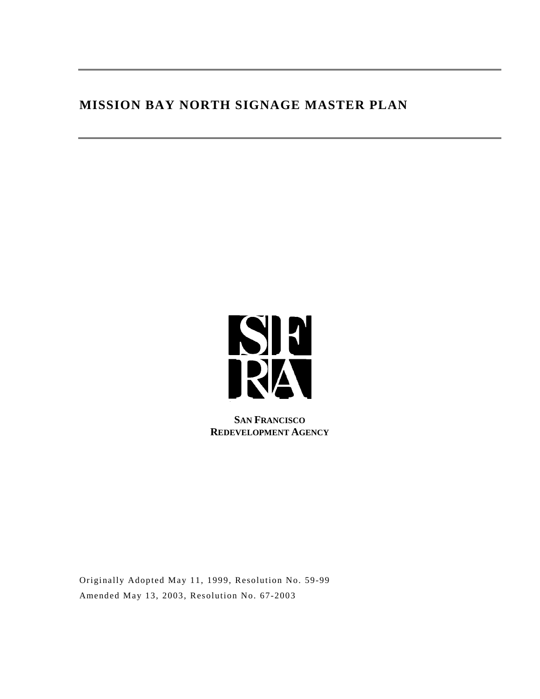# **MISSION BAY NORTH SIGNAGE MASTER PLAN**



**SAN FRANCISCO REDEVELOPMENT AGENCY**

Originally Adopted May 11, 1999, Resolution No. 59-99 Amended May 13, 2003, Resolution No. 67-2003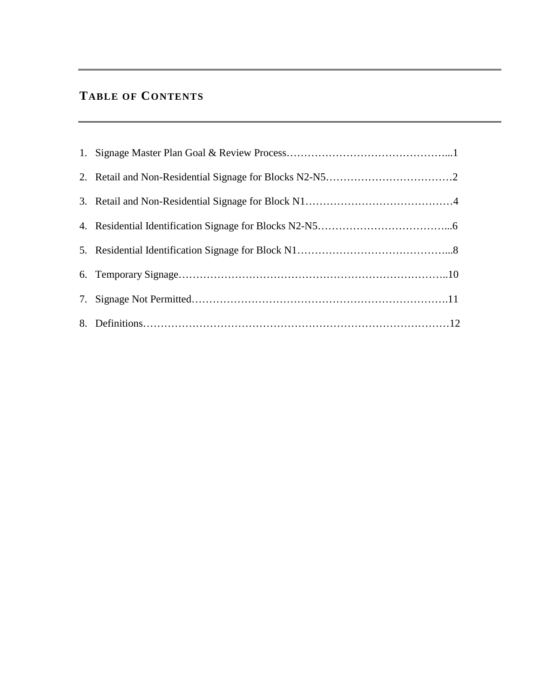# **TABLE OF CONTENTS**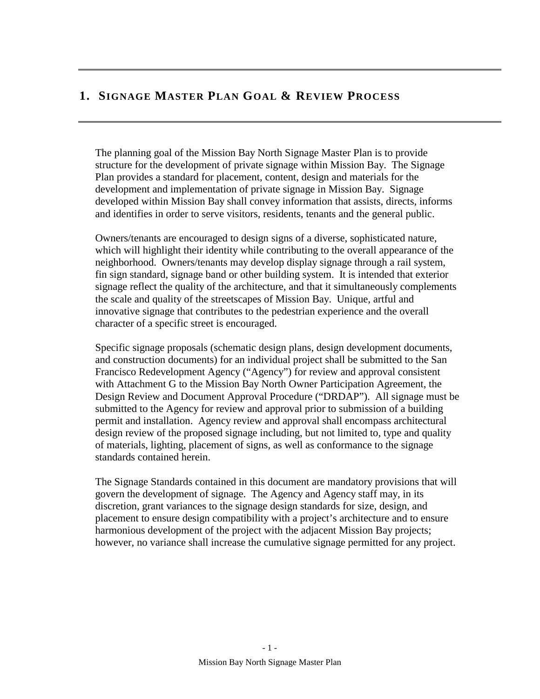## **1. SIGNAGE MASTER PLAN GOAL & REVIEW PROCESS**

The planning goal of the Mission Bay North Signage Master Plan is to provide structure for the development of private signage within Mission Bay. The Signage Plan provides a standard for placement, content, design and materials for the development and implementation of private signage in Mission Bay. Signage developed within Mission Bay shall convey information that assists, directs, informs and identifies in order to serve visitors, residents, tenants and the general public.

Owners/tenants are encouraged to design signs of a diverse, sophisticated nature, which will highlight their identity while contributing to the overall appearance of the neighborhood. Owners/tenants may develop display signage through a rail system, fin sign standard, signage band or other building system. It is intended that exterior signage reflect the quality of the architecture, and that it simultaneously complements the scale and quality of the streetscapes of Mission Bay. Unique, artful and innovative signage that contributes to the pedestrian experience and the overall character of a specific street is encouraged.

Specific signage proposals (schematic design plans, design development documents, and construction documents) for an individual project shall be submitted to the San Francisco Redevelopment Agency ("Agency") for review and approval consistent with Attachment G to the Mission Bay North Owner Participation Agreement, the Design Review and Document Approval Procedure ("DRDAP"). All signage must be submitted to the Agency for review and approval prior to submission of a building permit and installation. Agency review and approval shall encompass architectural design review of the proposed signage including, but not limited to, type and quality of materials, lighting, placement of signs, as well as conformance to the signage standards contained herein.

The Signage Standards contained in this document are mandatory provisions that will govern the development of signage. The Agency and Agency staff may, in its discretion, grant variances to the signage design standards for size, design, and placement to ensure design compatibility with a project's architecture and to ensure harmonious development of the project with the adjacent Mission Bay projects; however, no variance shall increase the cumulative signage permitted for any project.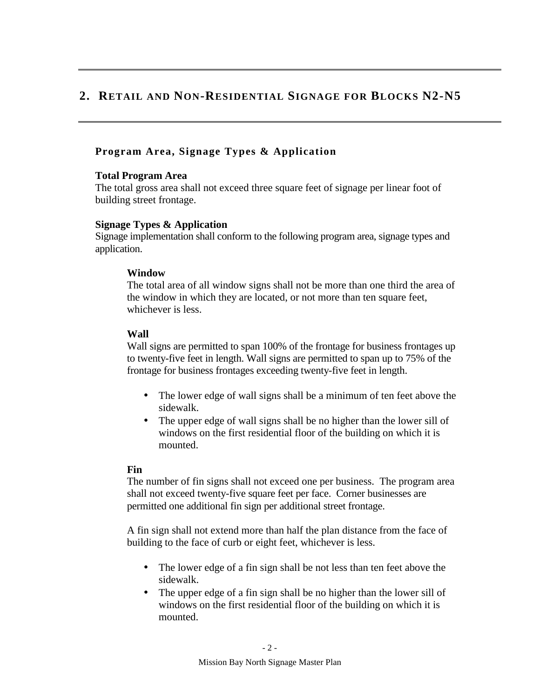## **2. RETAIL AND NON-RESIDENTIAL SIGNAGE FOR BLOCKS N2-N5**

## **Program Area, Signage Types & Application**

## **Total Program Area**

The total gross area shall not exceed three square feet of signage per linear foot of building street frontage.

### **Signage Types & Application**

Signage implementation shall conform to the following program area, signage types and application.

### **Window**

The total area of all window signs shall not be more than one third the area of the window in which they are located, or not more than ten square feet, whichever is less.

## **Wall**

Wall signs are permitted to span 100% of the frontage for business frontages up to twenty-five feet in length. Wall signs are permitted to span up to 75% of the frontage for business frontages exceeding twenty-five feet in length.

- The lower edge of wall signs shall be a minimum of ten feet above the sidewalk.
- The upper edge of wall signs shall be no higher than the lower sill of windows on the first residential floor of the building on which it is mounted.

## **Fin**

The number of fin signs shall not exceed one per business. The program area shall not exceed twenty-five square feet per face. Corner businesses are permitted one additional fin sign per additional street frontage.

A fin sign shall not extend more than half the plan distance from the face of building to the face of curb or eight feet, whichever is less.

- The lower edge of a fin sign shall be not less than ten feet above the sidewalk.
- The upper edge of a fin sign shall be no higher than the lower sill of windows on the first residential floor of the building on which it is mounted.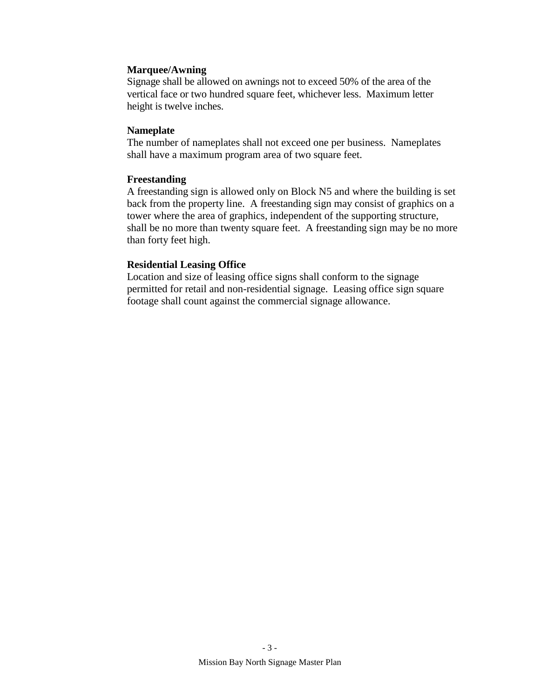### **Marquee/Awning**

Signage shall be allowed on awnings not to exceed 50% of the area of the vertical face or two hundred square feet, whichever less. Maximum letter height is twelve inches.

#### **Nameplate**

The number of nameplates shall not exceed one per business. Nameplates shall have a maximum program area of two square feet.

### **Freestanding**

A freestanding sign is allowed only on Block N5 and where the building is set back from the property line. A freestanding sign may consist of graphics on a tower where the area of graphics, independent of the supporting structure, shall be no more than twenty square feet. A freestanding sign may be no more than forty feet high.

## **Residential Leasing Office**

Location and size of leasing office signs shall conform to the signage permitted for retail and non-residential signage. Leasing office sign square footage shall count against the commercial signage allowance.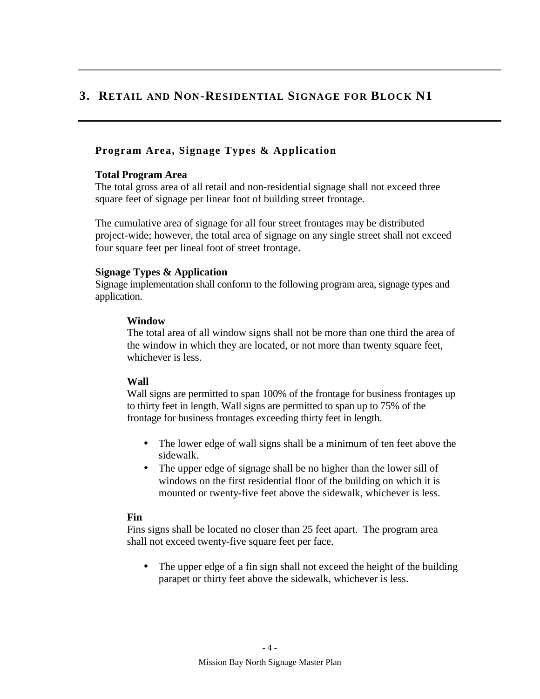## **3. RETAIL AND NON-RESIDENTIAL SIGNAGE FOR BLOCK N1**

## **Program Area, Signage Types & Application**

### **Total Program Area**

The total gross area of all retail and non-residential signage shall not exceed three square feet of signage per linear foot of building street frontage.

The cumulative area of signage for all four street frontages may be distributed project-wide; however, the total area of signage on any single street shall not exceed four square feet per lineal foot of street frontage.

### **Signage Types & Application**

Signage implementation shall conform to the following program area, signage types and application.

### **Window**

The total area of all window signs shall not be more than one third the area of the window in which they are located, or not more than twenty square feet, whichever is less.

## **Wall**

Wall signs are permitted to span 100% of the frontage for business frontages up to thirty feet in length. Wall signs are permitted to span up to 75% of the frontage for business frontages exceeding thirty feet in length.

- The lower edge of wall signs shall be a minimum of ten feet above the sidewalk.
- The upper edge of signage shall be no higher than the lower sill of windows on the first residential floor of the building on which it is mounted or twenty-five feet above the sidewalk, whichever is less.

## **Fin**

Fins signs shall be located no closer than 25 feet apart. The program area shall not exceed twenty-five square feet per face.

• The upper edge of a fin sign shall not exceed the height of the building parapet or thirty feet above the sidewalk, whichever is less.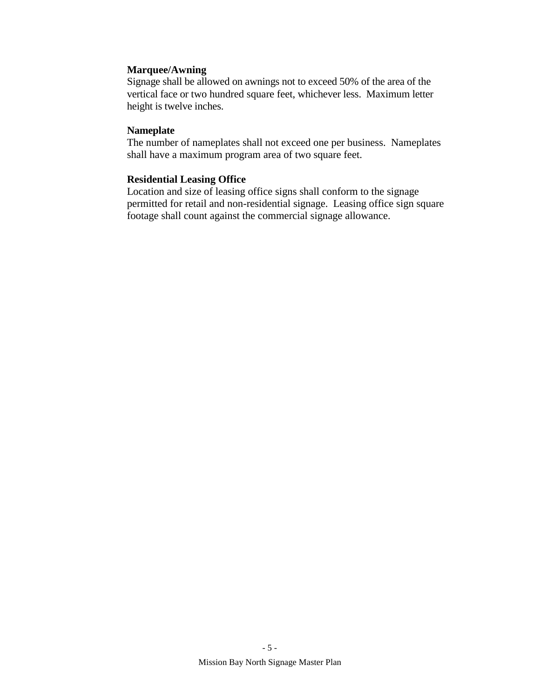### **Marquee/Awning**

Signage shall be allowed on awnings not to exceed 50% of the area of the vertical face or two hundred square feet, whichever less. Maximum letter height is twelve inches.

### **Nameplate**

The number of nameplates shall not exceed one per business. Nameplates shall have a maximum program area of two square feet.

## **Residential Leasing Office**

Location and size of leasing office signs shall conform to the signage permitted for retail and non-residential signage. Leasing office sign square footage shall count against the commercial signage allowance.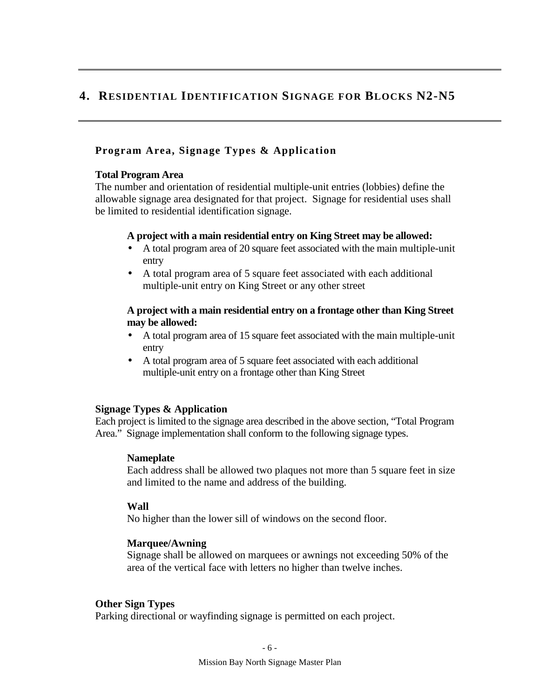## **4. RESIDENTIAL IDENTIFICATION SIGNAGE FOR BLOCKS N2-N5**

## **Program Area, Signage Types & Application**

#### **Total Program Area**

The number and orientation of residential multiple-unit entries (lobbies) define the allowable signage area designated for that project. Signage for residential uses shall be limited to residential identification signage.

### **A project with a main residential entry on King Street may be allowed:**

- A total program area of 20 square feet associated with the main multiple-unit entry
- A total program area of 5 square feet associated with each additional multiple-unit entry on King Street or any other street

## **A project with a main residential entry on a frontage other than King Street may be allowed:**

- A total program area of 15 square feet associated with the main multiple-unit entry
- A total program area of 5 square feet associated with each additional multiple-unit entry on a frontage other than King Street

## **Signage Types & Application**

Each project is limited to the signage area described in the above section, "Total Program Area." Signage implementation shall conform to the following signage types.

## **Nameplate**

Each address shall be allowed two plaques not more than 5 square feet in size and limited to the name and address of the building.

## **Wall**

No higher than the lower sill of windows on the second floor.

## **Marquee/Awning**

Signage shall be allowed on marquees or awnings not exceeding 50% of the area of the vertical face with letters no higher than twelve inches.

#### **Other Sign Types**

Parking directional or wayfinding signage is permitted on each project.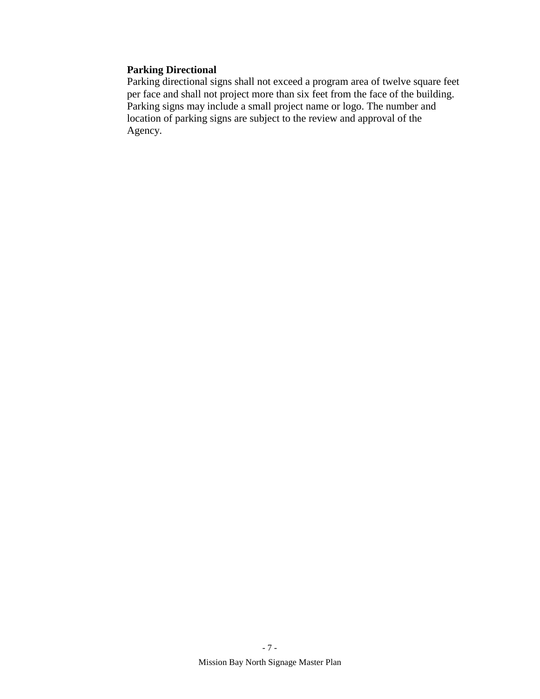## **Parking Directional**

Parking directional signs shall not exceed a program area of twelve square feet per face and shall not project more than six feet from the face of the building. Parking signs may include a small project name or logo. The number and location of parking signs are subject to the review and approval of the Agency.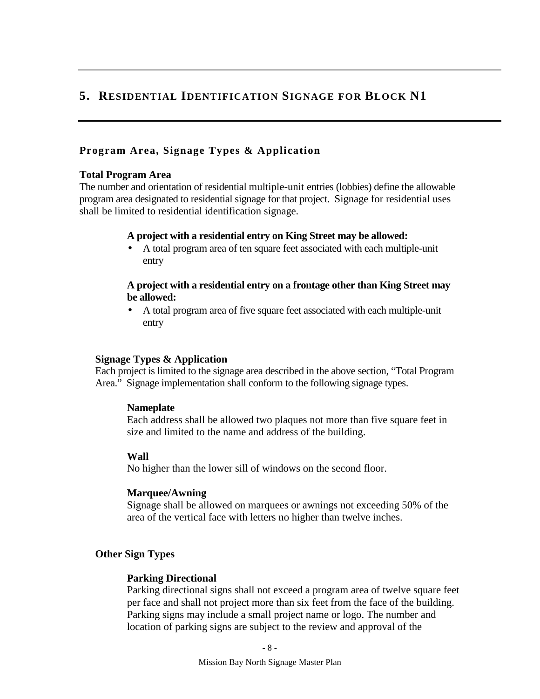## **5. RESIDENTIAL IDENTIFICATION SIGNAGE FOR BLOCK N1**

## **Program Area, Signage Types & Application**

### **Total Program Area**

The number and orientation of residential multiple-unit entries (lobbies) define the allowable program area designated to residential signage for that project. Signage for residential uses shall be limited to residential identification signage.

### **A project with a residential entry on King Street may be allowed:**

• A total program area of ten square feet associated with each multiple-unit entry

## **A project with a residential entry on a frontage other than King Street may be allowed:**

• A total program area of five square feet associated with each multiple-unit entry

## **Signage Types & Application**

Each project is limited to the signage area described in the above section, "Total Program Area." Signage implementation shall conform to the following signage types.

## **Nameplate**

Each address shall be allowed two plaques not more than five square feet in size and limited to the name and address of the building.

## **Wall**

No higher than the lower sill of windows on the second floor.

## **Marquee/Awning**

Signage shall be allowed on marquees or awnings not exceeding 50% of the area of the vertical face with letters no higher than twelve inches.

## **Other Sign Types**

## **Parking Directional**

Parking directional signs shall not exceed a program area of twelve square feet per face and shall not project more than six feet from the face of the building. Parking signs may include a small project name or logo. The number and location of parking signs are subject to the review and approval of the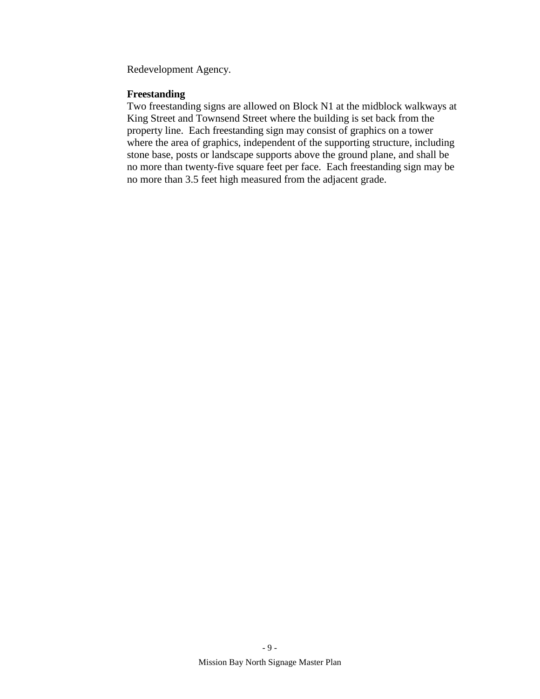Redevelopment Agency.

## **Freestanding**

Two freestanding signs are allowed on Block N1 at the midblock walkways at King Street and Townsend Street where the building is set back from the property line. Each freestanding sign may consist of graphics on a tower where the area of graphics, independent of the supporting structure, including stone base, posts or landscape supports above the ground plane, and shall be no more than twenty-five square feet per face. Each freestanding sign may be no more than 3.5 feet high measured from the adjacent grade.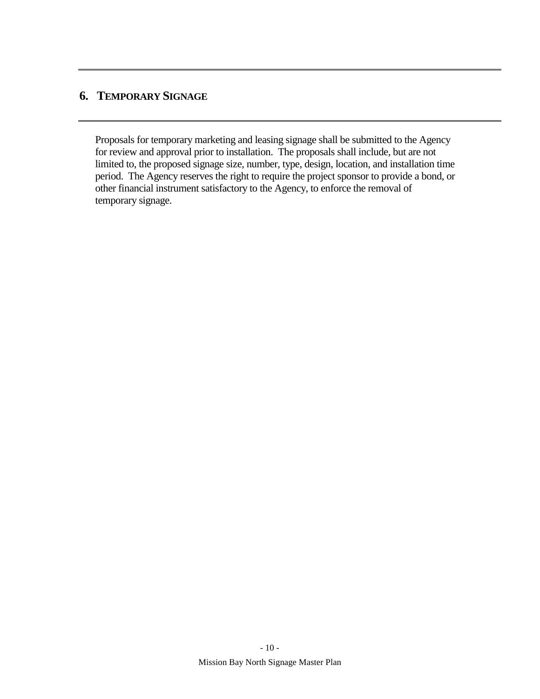# **6. TEMPORARY SIGNAGE**

Proposals for temporary marketing and leasing signage shall be submitted to the Agency for review and approval prior to installation. The proposals shall include, but are not limited to, the proposed signage size, number, type, design, location, and installation time period. The Agency reserves the right to require the project sponsor to provide a bond, or other financial instrument satisfactory to the Agency, to enforce the removal of temporary signage.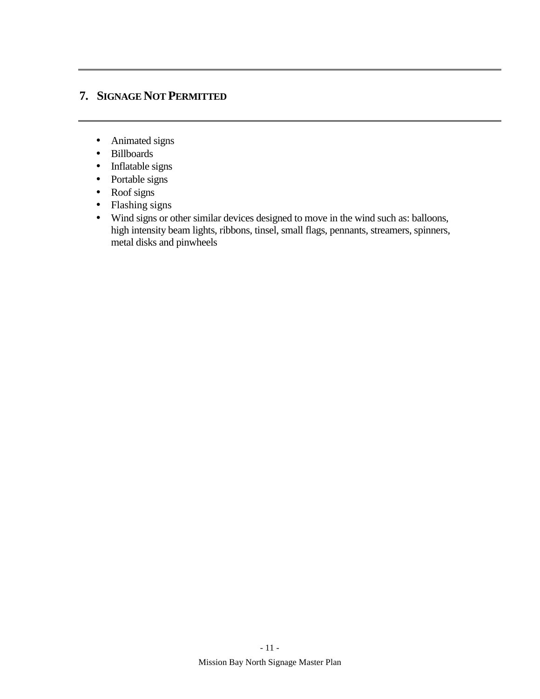# **7. SIGNAGE NOT PERMITTED**

- Animated signs
- Billboards
- Inflatable signs
- Portable signs
- Roof signs
- Flashing signs
- Wind signs or other similar devices designed to move in the wind such as: balloons, high intensity beam lights, ribbons, tinsel, small flags, pennants, streamers, spinners, metal disks and pinwheels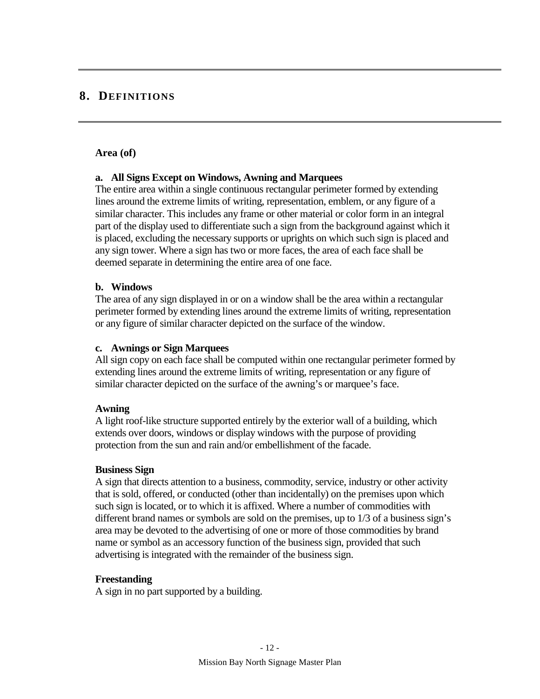## **8. DEFINITIONS**

#### **Area (of)**

#### **a. All Signs Except on Windows, Awning and Marquees**

The entire area within a single continuous rectangular perimeter formed by extending lines around the extreme limits of writing, representation, emblem, or any figure of a similar character. This includes any frame or other material or color form in an integral part of the display used to differentiate such a sign from the background against which it is placed, excluding the necessary supports or uprights on which such sign is placed and any sign tower. Where a sign has two or more faces, the area of each face shall be deemed separate in determining the entire area of one face.

#### **b. Windows**

The area of any sign displayed in or on a window shall be the area within a rectangular perimeter formed by extending lines around the extreme limits of writing, representation or any figure of similar character depicted on the surface of the window.

#### **c. Awnings or Sign Marquees**

All sign copy on each face shall be computed within one rectangular perimeter formed by extending lines around the extreme limits of writing, representation or any figure of similar character depicted on the surface of the awning's or marquee's face.

#### **Awning**

A light roof-like structure supported entirely by the exterior wall of a building, which extends over doors, windows or display windows with the purpose of providing protection from the sun and rain and/or embellishment of the facade.

#### **Business Sign**

A sign that directs attention to a business, commodity, service, industry or other activity that is sold, offered, or conducted (other than incidentally) on the premises upon which such sign is located, or to which it is affixed. Where a number of commodities with different brand names or symbols are sold on the premises, up to 1/3 of a business sign's area may be devoted to the advertising of one or more of those commodities by brand name or symbol as an accessory function of the business sign, provided that such advertising is integrated with the remainder of the business sign.

#### **Freestanding**

A sign in no part supported by a building.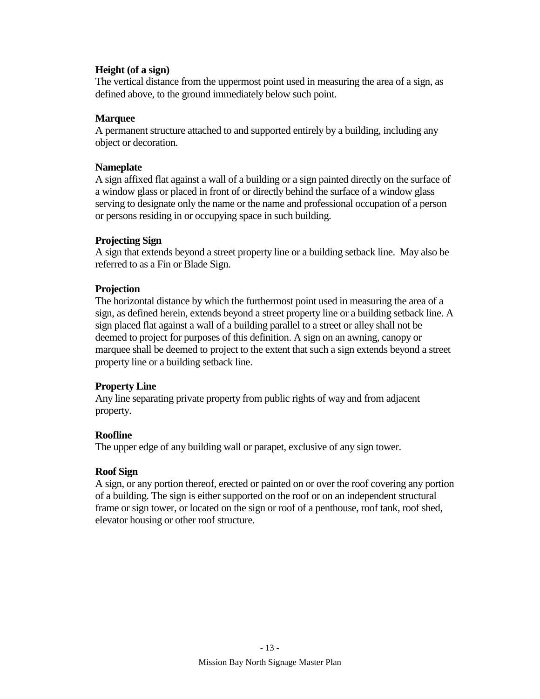## **Height (of a sign)**

The vertical distance from the uppermost point used in measuring the area of a sign, as defined above, to the ground immediately below such point.

#### **Marquee**

A permanent structure attached to and supported entirely by a building, including any object or decoration.

#### **Nameplate**

A sign affixed flat against a wall of a building or a sign painted directly on the surface of a window glass or placed in front of or directly behind the surface of a window glass serving to designate only the name or the name and professional occupation of a person or persons residing in or occupying space in such building.

### **Projecting Sign**

A sign that extends beyond a street property line or a building setback line. May also be referred to as a Fin or Blade Sign.

### **Projection**

The horizontal distance by which the furthermost point used in measuring the area of a sign, as defined herein, extends beyond a street property line or a building setback line. A sign placed flat against a wall of a building parallel to a street or alley shall not be deemed to project for purposes of this definition. A sign on an awning, canopy or marquee shall be deemed to project to the extent that such a sign extends beyond a street property line or a building setback line.

#### **Property Line**

Any line separating private property from public rights of way and from adjacent property.

## **Roofline**

The upper edge of any building wall or parapet, exclusive of any sign tower.

#### **Roof Sign**

A sign, or any portion thereof, erected or painted on or over the roof covering any portion of a building. The sign is either supported on the roof or on an independent structural frame or sign tower, or located on the sign or roof of a penthouse, roof tank, roof shed, elevator housing or other roof structure.